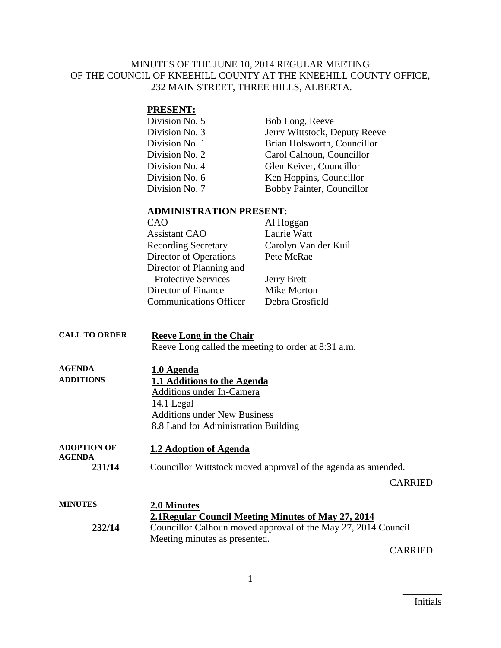## MINUTES OF THE JUNE 10, 2014 REGULAR MEETING OF THE COUNCIL OF KNEEHILL COUNTY AT THE KNEEHILL COUNTY OFFICE, 232 MAIN STREET, THREE HILLS, ALBERTA.

## **PRESENT:**

| Division No. 5 | Bob Long, Reeve               |
|----------------|-------------------------------|
| Division No. 3 | Jerry Wittstock, Deputy Reeve |
| Division No. 1 | Brian Holsworth, Councillor   |
| Division No. 2 | Carol Calhoun, Councillor     |
| Division No. 4 | Glen Keiver, Councillor       |
| Division No. 6 | Ken Hoppins, Councillor       |
| Division No. 7 | Bobby Painter, Councillor     |

#### **ADMINISTRATION PRESENT**:

| CAO                           | Al Hoggan            |
|-------------------------------|----------------------|
| <b>Assistant CAO</b>          | Laurie Watt          |
| <b>Recording Secretary</b>    | Carolyn Van der Kuil |
| Director of Operations        | Pete McRae           |
| Director of Planning and      |                      |
| <b>Protective Services</b>    | <b>Jerry Brett</b>   |
| Director of Finance           | Mike Morton          |
| <b>Communications Officer</b> | Debra Grosfield      |

# **CALL TO ORDER Reeve Long in the Chair**

Reeve Long called the meeting to order at 8:31 a.m.

| <b>AGENDA</b>    | 1.0 Agenda                           |
|------------------|--------------------------------------|
| <b>ADDITIONS</b> | 1.1 Additions to the Agenda          |
|                  | Additions under In-Camera            |
|                  | 14.1 Legal                           |
|                  | <b>Additions under New Business</b>  |
|                  | 8.8 Land for Administration Building |
|                  |                                      |

**ADOPTION OF AGENDA 1.2 Adoption of Agenda 231/14** Councillor Wittstock moved approval of the agenda as amended.

CARRIED

| <b>MINUTES</b> | 2.0 Minutes                                                   |
|----------------|---------------------------------------------------------------|
|                | 2.1 Regular Council Meeting Minutes of May 27, 2014           |
| 232/14         | Councillor Calhoun moved approval of the May 27, 2014 Council |
|                | Meeting minutes as presented.                                 |

CARRIED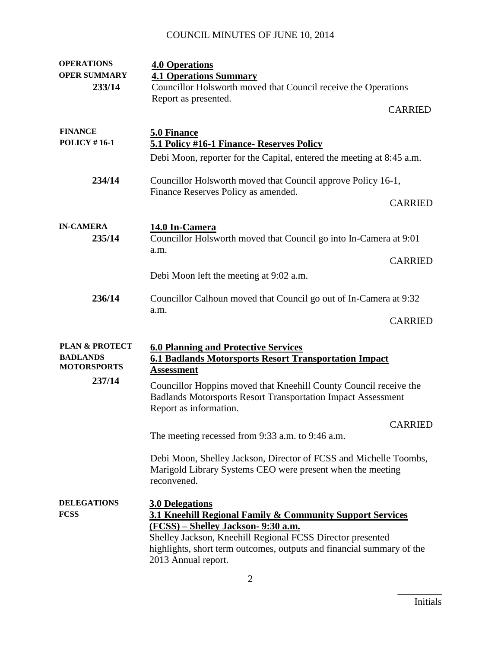# COUNCIL MINUTES OF JUNE 10, 2014

| <b>OPERATIONS</b>         | <b>4.0 Operations</b>                                                                                                           |
|---------------------------|---------------------------------------------------------------------------------------------------------------------------------|
| <b>OPER SUMMARY</b>       | <b>4.1 Operations Summary</b>                                                                                                   |
| 233/14                    | Councillor Holsworth moved that Council receive the Operations                                                                  |
|                           | Report as presented.                                                                                                            |
|                           | <b>CARRIED</b>                                                                                                                  |
|                           |                                                                                                                                 |
| <b>FINANCE</b>            | 5.0 Finance                                                                                                                     |
| <b>POLICY #16-1</b>       | 5.1 Policy #16-1 Finance- Reserves Policy                                                                                       |
|                           | Debi Moon, reporter for the Capital, entered the meeting at 8:45 a.m.                                                           |
|                           |                                                                                                                                 |
| 234/14                    | Councillor Holsworth moved that Council approve Policy 16-1,                                                                    |
|                           | Finance Reserves Policy as amended.                                                                                             |
|                           | <b>CARRIED</b>                                                                                                                  |
|                           |                                                                                                                                 |
| <b>IN-CAMERA</b>          | 14.0 In-Camera                                                                                                                  |
| 235/14                    | Councillor Holsworth moved that Council go into In-Camera at 9:01                                                               |
|                           | a.m.<br><b>CARRIED</b>                                                                                                          |
|                           |                                                                                                                                 |
|                           | Debi Moon left the meeting at 9:02 a.m.                                                                                         |
| 236/14                    |                                                                                                                                 |
|                           | Councillor Calhoun moved that Council go out of In-Camera at 9:32                                                               |
|                           | a.m.<br><b>CARRIED</b>                                                                                                          |
|                           |                                                                                                                                 |
| <b>PLAN &amp; PROTECT</b> |                                                                                                                                 |
| <b>BADLANDS</b>           | <b>6.0 Planning and Protective Services</b><br><b>6.1 Badlands Motorsports Resort Transportation Impact</b>                     |
| <b>MOTORSPORTS</b>        | <u>Assessment</u>                                                                                                               |
| 237/14                    |                                                                                                                                 |
|                           | Councillor Hoppins moved that Kneehill County Council receive the                                                               |
|                           | <b>Badlands Motorsports Resort Transportation Impact Assessment</b>                                                             |
|                           | Report as information.                                                                                                          |
|                           | <b>CARRIED</b>                                                                                                                  |
|                           | The meeting recessed from 9:33 a.m. to 9:46 a.m.                                                                                |
|                           |                                                                                                                                 |
|                           | Debi Moon, Shelley Jackson, Director of FCSS and Michelle Toombs,<br>Marigold Library Systems CEO were present when the meeting |
|                           | reconvened.                                                                                                                     |
|                           |                                                                                                                                 |
| <b>DELEGATIONS</b>        | <b>3.0 Delegations</b>                                                                                                          |
| <b>FCSS</b>               | 3.1 Kneehill Regional Family & Community Support Services                                                                       |
|                           | <u>(FCSS) – Shelley Jackson- 9:30 a.m.</u>                                                                                      |
|                           | Shelley Jackson, Kneehill Regional FCSS Director presented                                                                      |
|                           |                                                                                                                                 |
|                           | highlights, short term outcomes, outputs and financial summary of the                                                           |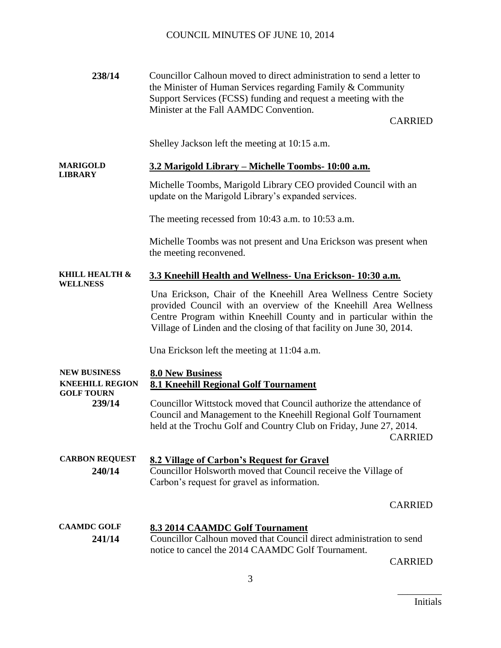| 238/14                                                             | Councillor Calhoun moved to direct administration to send a letter to<br>the Minister of Human Services regarding Family & Community<br>Support Services (FCSS) funding and request a meeting with the<br>Minister at the Fall AAMDC Convention.<br><b>CARRIED</b>                |
|--------------------------------------------------------------------|-----------------------------------------------------------------------------------------------------------------------------------------------------------------------------------------------------------------------------------------------------------------------------------|
|                                                                    | Shelley Jackson left the meeting at 10:15 a.m.                                                                                                                                                                                                                                    |
| <b>MARIGOLD</b><br><b>LIBRARY</b>                                  | <u> 3.2 Marigold Library – Michelle Toombs- 10:00 a.m.</u>                                                                                                                                                                                                                        |
|                                                                    | Michelle Toombs, Marigold Library CEO provided Council with an<br>update on the Marigold Library's expanded services.                                                                                                                                                             |
|                                                                    | The meeting recessed from $10:43$ a.m. to $10:53$ a.m.                                                                                                                                                                                                                            |
|                                                                    | Michelle Toombs was not present and Una Erickson was present when<br>the meeting reconvened.                                                                                                                                                                                      |
| <b>KHILL HEALTH &amp;</b><br>WELLNESS                              | 3.3 Kneehill Health and Wellness- Una Erickson- 10:30 a.m.                                                                                                                                                                                                                        |
|                                                                    | Una Erickson, Chair of the Kneehill Area Wellness Centre Society<br>provided Council with an overview of the Kneehill Area Wellness<br>Centre Program within Kneehill County and in particular within the<br>Village of Linden and the closing of that facility on June 30, 2014. |
|                                                                    | Una Erickson left the meeting at 11:04 a.m.                                                                                                                                                                                                                                       |
| <b>NEW BUSINESS</b><br><b>KNEEHILL REGION</b><br><b>GOLF TOURN</b> | <b>8.0 New Business</b><br><b>8.1 Kneehill Regional Golf Tournament</b>                                                                                                                                                                                                           |
| 239/14                                                             | Councillor Wittstock moved that Council authorize the attendance of<br>Council and Management to the Kneehill Regional Golf Tournament<br>held at the Trochu Golf and Country Club on Friday, June 27, 2014.<br><b>CARRIED</b>                                                    |
| <b>CARBON REQUEST</b><br>240/14                                    | <b>8.2 Village of Carbon's Request for Gravel</b><br>Councillor Holsworth moved that Council receive the Village of<br>Carbon's request for gravel as information.                                                                                                                |
|                                                                    | <b>CARRIED</b>                                                                                                                                                                                                                                                                    |
| <b>CAAMDC GOLF</b><br>241/14                                       | <b>8.3 2014 CAAMDC Golf Tournament</b><br>Councillor Calhoun moved that Council direct administration to send<br>notice to cancel the 2014 CAAMDC Golf Tournament.                                                                                                                |

CARRIED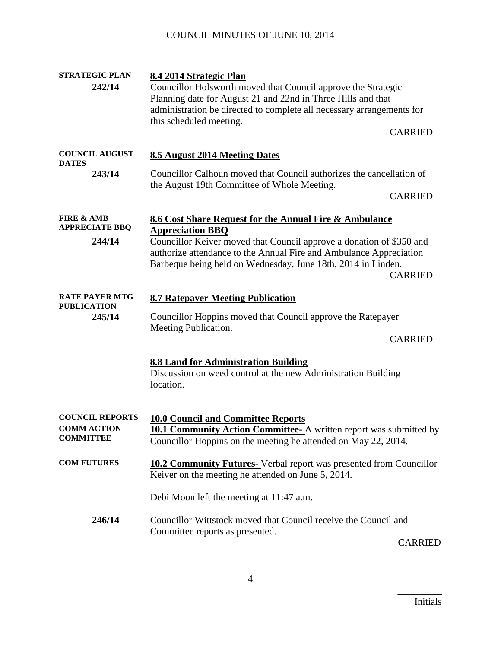# COUNCIL MINUTES OF JUNE 10, 2014

| <b>STRATEGIC PLAN</b><br>242/14                                  | 8.4 2014 Strategic Plan<br>Councillor Holsworth moved that Council approve the Strategic<br>Planning date for August 21 and 22nd in Three Hills and that<br>administration be directed to complete all necessary arrangements for<br>this scheduled meeting.<br><b>CARRIED</b>                                    |  |
|------------------------------------------------------------------|-------------------------------------------------------------------------------------------------------------------------------------------------------------------------------------------------------------------------------------------------------------------------------------------------------------------|--|
| <b>COUNCIL AUGUST</b><br><b>DATES</b>                            | 8.5 August 2014 Meeting Dates                                                                                                                                                                                                                                                                                     |  |
| 243/14                                                           | Councillor Calhoun moved that Council authorizes the cancellation of<br>the August 19th Committee of Whole Meeting.<br><b>CARRIED</b>                                                                                                                                                                             |  |
| <b>FIRE &amp; AMB</b><br><b>APPRECIATE BBQ</b><br>244/14         | 8.6 Cost Share Request for the Annual Fire & Ambulance<br><b>Appreciation BBQ</b><br>Councillor Keiver moved that Council approve a donation of \$350 and<br>authorize attendance to the Annual Fire and Ambulance Appreciation<br>Barbeque being held on Wednesday, June 18th, 2014 in Linden.<br><b>CARRIED</b> |  |
| <b>RATE PAYER MTG</b><br><b>PUBLICATION</b><br>245/14            | <b>8.7 Ratepayer Meeting Publication</b><br>Councillor Hoppins moved that Council approve the Ratepayer<br>Meeting Publication.<br><b>CARRIED</b>                                                                                                                                                                 |  |
|                                                                  | <b>8.8 Land for Administration Building</b><br>Discussion on weed control at the new Administration Building<br>location.                                                                                                                                                                                         |  |
| <b>COUNCIL REPORTS</b><br><b>COMM ACTION</b><br><b>COMMITTEE</b> | <b>10.0 Council and Committee Reports</b><br><b>10.1 Community Action Committee-</b> A written report was submitted by<br>Councillor Hoppins on the meeting he attended on May 22, 2014.                                                                                                                          |  |
| <b>COM FUTURES</b>                                               | <b>10.2 Community Futures-</b> Verbal report was presented from Councillor<br>Keiver on the meeting he attended on June 5, 2014.                                                                                                                                                                                  |  |
|                                                                  | Debi Moon left the meeting at 11:47 a.m.                                                                                                                                                                                                                                                                          |  |
| 246/14                                                           | Councillor Wittstock moved that Council receive the Council and<br>Committee reports as presented.<br><b>CARRIED</b>                                                                                                                                                                                              |  |